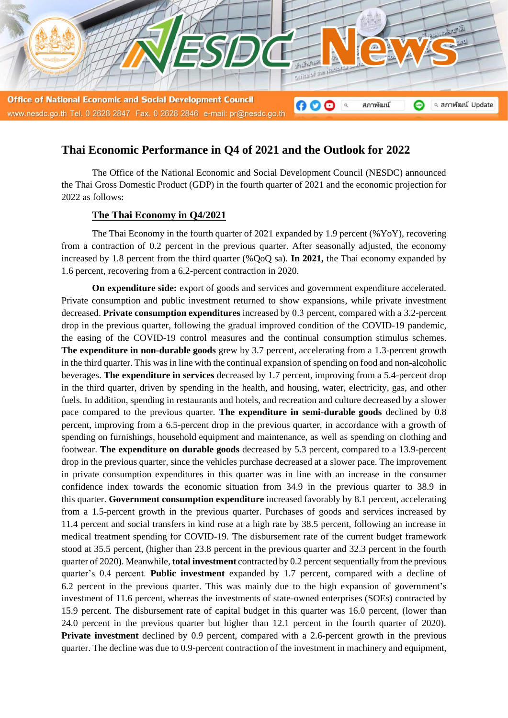

# **Thai Economic Performance in Q4 of 2021 and the Outlook for 2022**

The Office of the National Economic and Social Development Council (NESDC) announced the Thai Gross Domestic Product (GDP) in the fourth quarter of 2021 and the economic projection for 2022 as follows:

## **The Thai Economy in Q4/2021**

The Thai Economy in the fourth quarter of 2021 expanded by 1.9 percent (%YoY), recovering from a contraction of 0.2 percent in the previous quarter. After seasonally adjusted, the economy increased by 1.8 percent from the third quarter (%QoQ sa). **In 2021,** the Thai economy expanded by 1.6 percent, recovering from a 6.2-percent contraction in 2020.

**On expenditure side:** export of goods and services and government expenditure accelerated. Private consumption and public investment returned to show expansions, while private investment decreased. **Private consumption expenditures** increased by 0.3 percent, compared with a 3.2-percent drop in the previous quarter, following the gradual improved condition of the COVID-19 pandemic, the easing of the COVID-19 control measures and the continual consumption stimulus schemes. **The expenditure in non-durable goods** grew by 3.7 percent, accelerating from a 1.3-percent growth in the third quarter. This was in line with the continual expansion of spending on food and non-alcoholic beverages. **The expenditure in services** decreased by 1.7 percent, improving from a 5.4-percent drop in the third quarter, driven by spending in the health, and housing, water, electricity, gas, and other fuels. In addition, spending in restaurants and hotels, and recreation and culture decreased by a slower pace compared to the previous quarter. **The expenditure in semi-durable goods** declined by 0.8 percent, improving from a 6.5-percent drop in the previous quarter, in accordance with a growth of spending on furnishings, household equipment and maintenance, as well as spending on clothing and footwear. **The expenditure on durable goods** decreased by 5.3 percent, compared to a 13.9-percent drop in the previous quarter, since the vehicles purchase decreased at a slower pace. The improvement in private consumption expenditures in this quarter was in line with an increase in the consumer confidence index towards the economic situation from 34.9 in the previous quarter to 38.9 in this quarter. **Government consumption expenditure** increased favorably by 8.1 percent, accelerating from a 1.5-percent growth in the previous quarter. Purchases of goods and services increased by 11.4 percent and social transfers in kind rose at a high rate by 38.5 percent, following an increase in medical treatment spending for COVID-19. The disbursement rate of the current budget framework stood at 35.5 percent, (higher than 23.8 percent in the previous quarter and 32.3 percent in the fourth quarter of 2020). Meanwhile, **total investment** contracted by 0.2 percent sequentially from the previous quarter's 0.4 percent. **Public investment** expanded by 1.7 percent, compared with a decline of 6.2 percent in the previous quarter. This was mainly due to the high expansion of government's investment of 11.6 percent, whereas the investments of state-owned enterprises (SOEs) contracted by 15.9 percent. The disbursement rate of capital budget in this quarter was 16.0 percent, (lower than 24.0 percent in the previous quarter but higher than 12.1 percent in the fourth quarter of 2020). **Private investment** declined by 0.9 percent, compared with a 2.6-percent growth in the previous quarter. The decline was due to 0.9-percent contraction of the investment in machinery and equipment,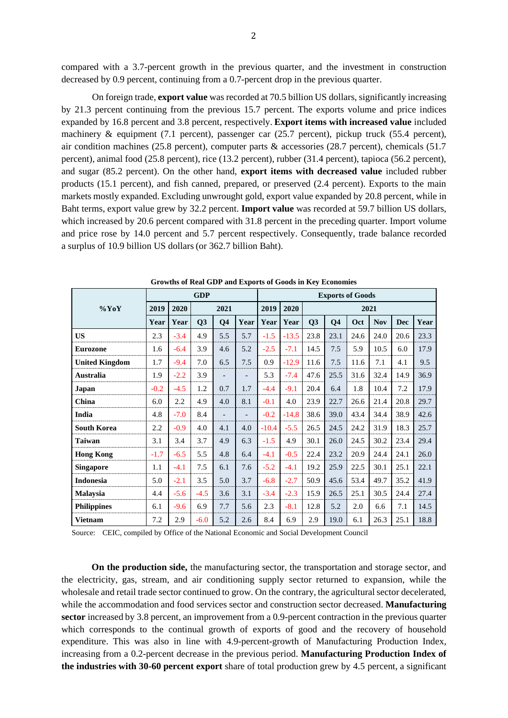compared with a 3.7-percent growth in the previous quarter, and the investment in construction decreased by 0.9 percent, continuing from a 0.7-percent drop in the previous quarter.

On foreign trade, **export value** was recorded at 70.5 billion US dollars, significantly increasing by 21.3 percent continuing from the previous 15.7 percent. The exports volume and price indices expanded by 16.8 percent and 3.8 percent, respectively. **Export items with increased value** included machinery & equipment (7.1 percent), passenger car (25.7 percent), pickup truck (55.4 percent), air condition machines (25.8 percent), computer parts & accessories (28.7 percent), chemicals (51.7 percent), animal food (25.8 percent), rice (13.2 percent), rubber (31.4 percent), tapioca (56.2 percent), and sugar (85.2 percent). On the other hand, **export items with decreased value** included rubber products (15.1 percent), and fish canned, prepared, or preserved (2.4 percent). Exports to the main markets mostly expanded. Excluding unwrought gold, export value expanded by 20.8 percent, while in Baht terms, export value grew by 32.2 percent. **Import value** was recorded at 59.7 billion US dollars, which increased by 20.6 percent compared with 31.8 percent in the preceding quarter. Import volume and price rose by 14.0 percent and 5.7 percent respectively. Consequently, trade balance recorded a surplus of 10.9 billion US dollars (or 362.7 billion Baht).

|                       |        |        | <b>GDP</b> |                |                          | <b>Exports of Goods</b> |         |      |                |      |            |            |      |  |
|-----------------------|--------|--------|------------|----------------|--------------------------|-------------------------|---------|------|----------------|------|------------|------------|------|--|
| $\%$ YoY              | 2019   | 2020   | 2021       |                |                          | 2019                    | 2020    | 2021 |                |      |            |            |      |  |
|                       | Year   | Year   | Q3         | Q <sub>4</sub> | Year                     | Year                    | Year    | Q3   | Q <sub>4</sub> | Oct  | <b>Nov</b> | <b>Dec</b> | Year |  |
| <b>US</b>             | 2.3    | $-3.4$ | 4.9        | 5.5            | 5.7                      | $-1.5$                  | $-13.5$ | 23.8 | 23.1           | 24.6 | 24.0       | 20.6       | 23.3 |  |
| <b>Eurozone</b>       | 1.6    | $-6.4$ | 3.9        | 4.6            | 5.2                      | $-2.5$                  | $-7.1$  | 14.5 | 7.5            | 5.9  | 10.5       | 6.0        | 17.9 |  |
| <b>United Kingdom</b> | 1.7    | $-9.4$ | 7.0        | 6.5            | 7.5                      | 0.9                     | $-12.9$ | 11.6 | 7.5            | 11.6 | 7.1        | 4.1        | 9.5  |  |
| Australia             | 1.9    | $-2.2$ | 3.9        |                | $\overline{\phantom{0}}$ | 5.3                     | $-7.4$  | 47.6 | 25.5           | 31.6 | 32.4       | 14.9       | 36.9 |  |
| Japan                 | $-0.2$ | $-4.5$ | 1.2        | 0.7            | 1.7                      | $-4.4$                  | $-9.1$  | 20.4 | 6.4            | 1.8  | 10.4       | 7.2        | 17.9 |  |
| China                 | 6.0    | 2.2    | 4.9        | 4.0            | 8.1                      | $-0.1$                  | 4.0     | 23.9 | 22.7           | 26.6 | 21.4       | 20.8       | 29.7 |  |
| India                 | 4.8    | $-7.0$ | 8.4        |                | $\overline{\phantom{a}}$ | $-0.2$                  | $-14.8$ | 38.6 | 39.0           | 43.4 | 34.4       | 38.9       | 42.6 |  |
| <b>South Korea</b>    | 2.2    | $-0.9$ | 4.0        | 4.1            | 4.0                      | $-10.4$                 | $-5.5$  | 26.5 | 24.5           | 24.2 | 31.9       | 18.3       | 25.7 |  |
| <b>Taiwan</b>         | 3.1    | 3.4    | 3.7        | 4.9            | 6.3                      | $-1.5$                  | 4.9     | 30.1 | 26.0           | 24.5 | 30.2       | 23.4       | 29.4 |  |
| <b>Hong Kong</b>      | $-1.7$ | $-6.5$ | 5.5        | 4.8            | 6.4                      | $-4.1$                  | $-0.5$  | 22.4 | 23.2           | 20.9 | 24.4       | 24.1       | 26.0 |  |
| <b>Singapore</b>      | 1.1    | $-4.1$ | 7.5        | 6.1            | 7.6                      | $-5.2$                  | $-4.1$  | 19.2 | 25.9           | 22.5 | 30.1       | 25.1       | 22.1 |  |
| <b>Indonesia</b>      | 5.0    | $-2.1$ | 3.5        | 5.0            | 3.7                      | $-6.8$                  | $-2.7$  | 50.9 | 45.6           | 53.4 | 49.7       | 35.2       | 41.9 |  |
| <b>Malaysia</b>       | 4.4    | $-5.6$ | $-4.5$     | 3.6            | 3.1                      | $-3.4$                  | $-2.3$  | 15.9 | 26.5           | 25.1 | 30.5       | 24.4       | 27.4 |  |
| <b>Philippines</b>    | 6.1    | $-9.6$ | 6.9        | 7.7            | 5.6                      | 2.3                     | $-8.1$  | 12.8 | 5.2            | 2.0  | 6.6        | 7.1        | 14.5 |  |
| <b>Vietnam</b>        | 7.2    | 2.9    | $-6.0$     | 5.2            | 2.6                      | 8.4                     | 6.9     | 2.9  | 19.0           | 6.1  | 26.3       | 25.1       | 18.8 |  |

**Growths of Real GDP and Exports of Goods in Key Economies**

Source: CEIC, compiled by Office of the National Economic and Social Development Council

**On the production side,** the manufacturing sector, the transportation and storage sector, and the electricity, gas, stream, and air conditioning supply sector returned to expansion, while the wholesale and retail trade sector continued to grow. On the contrary, the agricultural sector decelerated, while the accommodation and food services sector and construction sector decreased. **Manufacturing sector** increased by 3.8 percent, an improvement from a 0.9-percent contraction in the previous quarter which corresponds to the continual growth of exports of good and the recovery of household expenditure. This was also in line with 4.9-percent-growth of Manufacturing Production Index, increasing from a 0.2-percent decrease in the previous period. **Manufacturing Production Index of the industries with 30-60 percent export** share of total production grew by 4.5 percent, a significant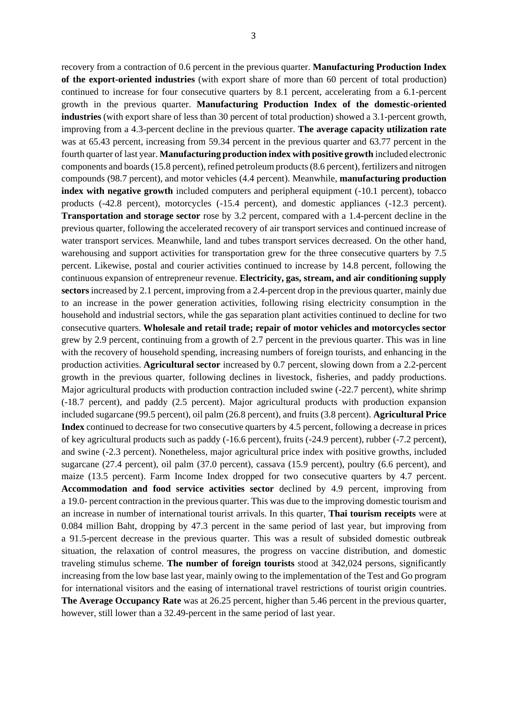recovery from a contraction of 0.6 percent in the previous quarter. **Manufacturing Production Index of the export-oriented industries** (with export share of more than 60 percent of total production) continued to increase for four consecutive quarters by 8.1 percent, accelerating from a 6.1-percent growth in the previous quarter. **Manufacturing Production Index of the domestic-oriented industries** (with export share of less than 30 percent of total production) showed a 3.1-percent growth, improving from a 4.3-percent decline in the previous quarter. **The average capacity utilization rate** was at 65.43 percent, increasing from 59.34 percent in the previous quarter and 63.77 percent in the fourth quarter of last year. **Manufacturing production index with positive growth** included electronic components and boards (15.8 percent), refined petroleum products (8.6 percent), fertilizers and nitrogen compounds (98.7 percent), and motor vehicles (4.4 percent). Meanwhile, **manufacturing production index with negative growth** included computers and peripheral equipment (-10.1 percent), tobacco products (-42.8 percent), motorcycles (-15.4 percent), and domestic appliances (-12.3 percent). **Transportation and storage sector** rose by 3.2 percent, compared with a 1.4-percent decline in the previous quarter, following the accelerated recovery of air transport services and continued increase of water transport services. Meanwhile, land and tubes transport services decreased. On the other hand, warehousing and support activities for transportation grew for the three consecutive quarters by 7.5 percent. Likewise, postal and courier activities continued to increase by 14.8 percent, following the continuous expansion of entrepreneur revenue. **Electricity, gas, stream, and air conditioning supply sectors**increased by 2.1 percent, improving from a 2.4-percent drop in the previous quarter, mainly due to an increase in the power generation activities, following rising electricity consumption in the household and industrial sectors, while the gas separation plant activities continued to decline for two consecutive quarters. **Wholesale and retail trade; repair of motor vehicles and motorcycles sector** grew by 2.9 percent, continuing from a growth of 2.7 percent in the previous quarter. This was in line with the recovery of household spending, increasing numbers of foreign tourists, and enhancing in the production activities. **Agricultural sector** increased by 0.7 percent, slowing down from a 2.2-percent growth in the previous quarter, following declines in livestock, fisheries, and paddy productions. Major agricultural products with production contraction included swine (-22.7 percent), white shrimp (-18.7 percent), and paddy (2.5 percent). Major agricultural products with production expansion included sugarcane (99.5 percent), oil palm (26.8 percent), and fruits (3.8 percent). **Agricultural Price Index** continued to decrease for two consecutive quarters by 4.5 percent, following a decrease in prices of key agricultural products such as paddy (-16.6 percent), fruits (-24.9 percent), rubber (-7.2 percent), and swine (-2.3 percent). Nonetheless, major agricultural price index with positive growths, included sugarcane (27.4 percent), oil palm (37.0 percent), cassava (15.9 percent), poultry (6.6 percent), and maize (13.5 percent). Farm Income Index dropped for two consecutive quarters by 4.7 percent. **Accommodation and food service activities sector** declined by 4.9 percent, improving from a 19.0- percent contraction in the previous quarter. This was due to the improving domestic tourism and an increase in number of international tourist arrivals. In this quarter, **Thai tourism receipts** were at 0.084 million Baht, dropping by 47.3 percent in the same period of last year, but improving from a 91.5-percent decrease in the previous quarter. This was a result of subsided domestic outbreak situation, the relaxation of control measures, the progress on vaccine distribution, and domestic traveling stimulus scheme. **The number of foreign tourists** stood at 342,024 persons, significantly increasing from the low base last year, mainly owing to the implementation of the Test and Go program for international visitors and the easing of international travel restrictions of tourist origin countries. **The Average Occupancy Rate** was at 26.25 percent, higher than 5.46 percent in the previous quarter,

however, still lower than a 32.49-percent in the same period of last year.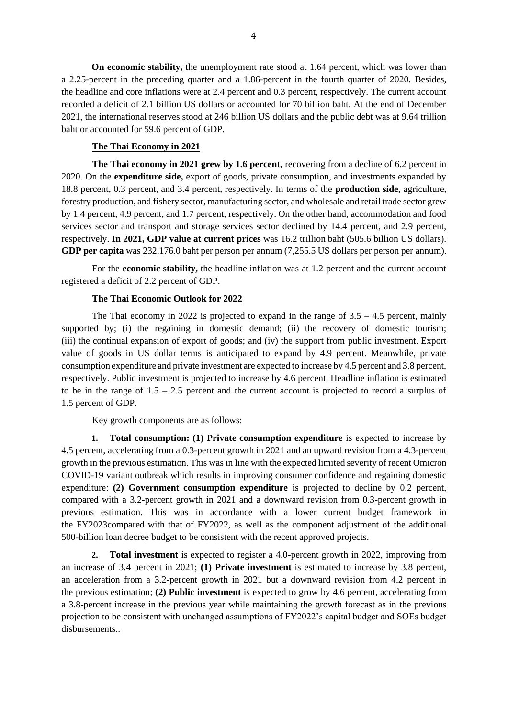**On economic stability,** the unemployment rate stood at 1.64 percent, which was lower than a 2.25-percent in the preceding quarter and a 1.86-percent in the fourth quarter of 2020. Besides, the headline and core inflations were at 2.4 percent and 0.3 percent, respectively. The current account recorded a deficit of 2.1 billion US dollars or accounted for 70 billion baht. At the end of December 2021, the international reserves stood at 246 billion US dollars and the public debt was at 9.64 trillion baht or accounted for 59.6 percent of GDP.

### **The Thai Economy in 2021**

**The Thai economy in 2021 grew by 1.6 percent,** recovering from a decline of 6.2 percent in 2020. On the **expenditure side,** export of goods, private consumption, and investments expanded by 18.8 percent, 0.3 percent, and 3.4 percent, respectively. In terms of the **production side,** agriculture, forestry production, and fishery sector, manufacturing sector, and wholesale and retail trade sector grew by 1.4 percent, 4.9 percent, and 1.7 percent, respectively. On the other hand, accommodation and food services sector and transport and storage services sector declined by 14.4 percent, and 2.9 percent, respectively. **In 2021, GDP value at current prices** was 16.2 trillion baht (505.6 billion US dollars). **GDP per capita** was 232,176.0 baht per person per annum (7,255.5 US dollars per person per annum).

For the **economic stability,** the headline inflation was at 1.2 percent and the current account registered a deficit of 2.2 percent of GDP.

#### **The Thai Economic Outlook for 2022**

The Thai economy in 2022 is projected to expand in the range of  $3.5 - 4.5$  percent, mainly supported by; (i) the regaining in domestic demand; (ii) the recovery of domestic tourism; (iii) the continual expansion of export of goods; and (iv) the support from public investment. Export value of goods in US dollar terms is anticipated to expand by 4.9 percent. Meanwhile, private consumption expenditure and private investment are expected to increase by 4.5 percent and 3.8 percent, respectively. Public investment is projected to increase by 4.6 percent. Headline inflation is estimated to be in the range of 1.5 – 2.5 percent and the current account is projected to record a surplus of 1.5 percent of GDP.

Key growth components are as follows:

**Total consumption: (1) Private consumption expenditure** is expected to increase by 4.5 percent, accelerating from a 0.3-percent growth in 2021 and an upward revision from a 4.3-percent growth in the previous estimation. This was in line with the expected limited severity of recent Omicron COVID-19 variant outbreak which results in improving consumer confidence and regaining domestic expenditure: **(2) Government consumption expenditure** is projected to decline by 0.2 percent, compared with a 3.2-percent growth in 2021 and a downward revision from 0.3-percent growth in previous estimation. This was in accordance with a lower current budget framework in the FY2023compared with that of FY2022, as well as the component adjustment of the additional 500-billion loan decree budget to be consistent with the recent approved projects.

**2. Total investment** is expected to register a 4.0-percent growth in 2022, improving from an increase of 3.4 percent in 2021; **(1) Private investment** is estimated to increase by 3.8 percent, an acceleration from a 3.2-percent growth in 2021 but a downward revision from 4.2 percent in the previous estimation; **(2) Public investment** is expected to grow by 4.6 percent, accelerating from a 3.8-percent increase in the previous year while maintaining the growth forecast as in the previous projection to be consistent with unchanged assumptions of FY2022's capital budget and SOEs budget disbursements..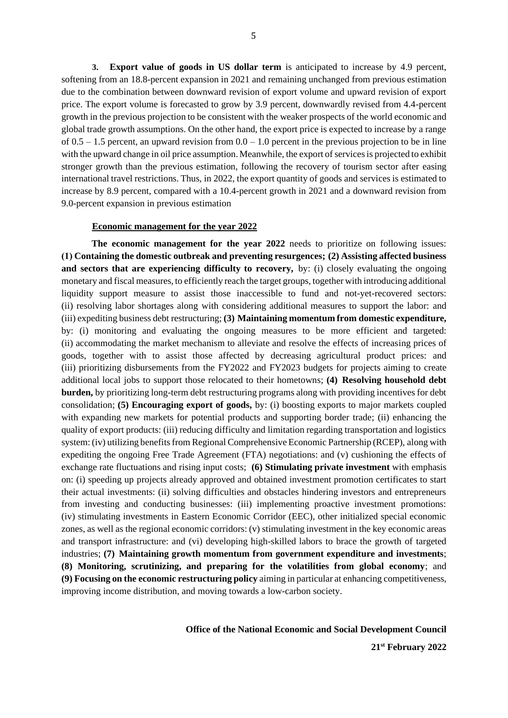**3. Export value of goods in US dollar term** is anticipated to increase by 4.9 percent, softening from an 18.8-percent expansion in 2021 and remaining unchanged from previous estimation due to the combination between downward revision of export volume and upward revision of export price. The export volume is forecasted to grow by 3.9 percent, downwardly revised from 4.4-percent growth in the previous projection to be consistent with the weaker prospects of the world economic and global trade growth assumptions. On the other hand, the export price is expected to increase by a range of  $0.5 - 1.5$  percent, an upward revision from  $0.0 - 1.0$  percent in the previous projection to be in line with the upward change in oil price assumption. Meanwhile, the export of servicesis projected to exhibit stronger growth than the previous estimation, following the recovery of tourism sector after easing international travel restrictions. Thus, in 2022, the export quantity of goods and services is estimated to increase by 8.9 percent, compared with a 10.4-percent growth in 2021 and a downward revision from 9.0-percent expansion in previous estimation

#### **Economic management for the year 2022**

**The economic management for the year 2022** needs to prioritize on following issues: **(1) Containing the domestic outbreak and preventing resurgences; (2) Assisting affected business and sectors that are experiencing difficulty to recovery,** by: (i) closely evaluating the ongoing monetary and fiscal measures, to efficiently reach the target groups, together with introducing additional liquidity support measure to assist those inaccessible to fund and not-yet-recovered sectors: (ii) resolving labor shortages along with considering additional measures to support the labor: and (iii) expediting business debt restructuring; **(3) Maintaining momentum from domestic expenditure,** by: (i) monitoring and evaluating the ongoing measures to be more efficient and targeted: (ii) accommodating the market mechanism to alleviate and resolve the effects of increasing prices of goods, together with to assist those affected by decreasing agricultural product prices: and (iii) prioritizing disbursements from the FY2022 and FY2023 budgets for projects aiming to create additional local jobs to support those relocated to their hometowns; **(4) Resolving household debt burden,** by prioritizing long-term debt restructuring programs along with providing incentives for debt consolidation; **(5) Encouraging export of goods,** by: (i) boosting exports to major markets coupled with expanding new markets for potential products and supporting border trade; (ii) enhancing the quality of export products: (iii) reducing difficulty and limitation regarding transportation and logistics system: (iv) utilizing benefits from Regional Comprehensive Economic Partnership (RCEP), along with expediting the ongoing Free Trade Agreement (FTA) negotiations: and (v) cushioning the effects of exchange rate fluctuations and rising input costs; **(6) Stimulating private investment** with emphasis on: (i) speeding up projects already approved and obtained investment promotion certificates to start their actual investments: (ii) solving difficulties and obstacles hindering investors and entrepreneurs from investing and conducting businesses: (iii) implementing proactive investment promotions: (iv) stimulating investments in Eastern Economic Corridor (EEC), other initialized special economic zones, as well as the regional economic corridors: (v) stimulating investment in the key economic areas and transport infrastructure: and (vi) developing high-skilled labors to brace the growth of targeted industries; **(7) Maintaining growth momentum from government expenditure and investments**; **(8) Monitoring, scrutinizing, and preparing for the volatilities from global economy**; and **(9) Focusing on the economic restructuring policy** aiming in particular at enhancing competitiveness, improving income distribution, and moving towards a low-carbon society.

> **Office of the National Economic and Social Development Council 21st February 2022**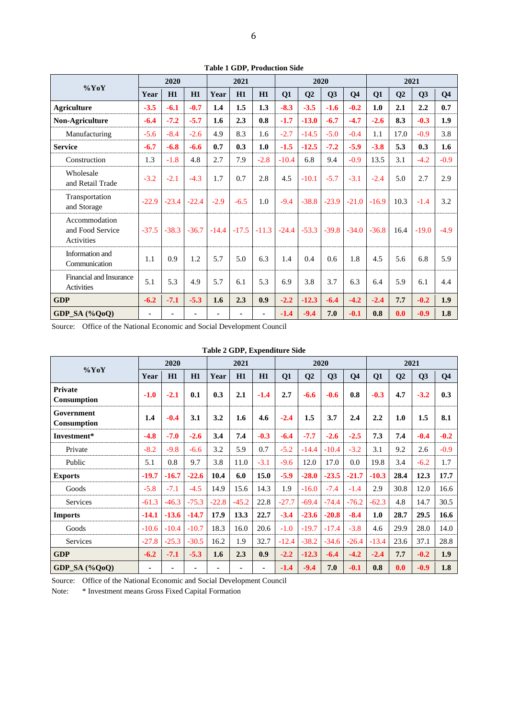| $\%$ YoY                                        | 2020    |         |         | 2021    |         |         | 2020    |         |         |                | 2021    |                |         |                |
|-------------------------------------------------|---------|---------|---------|---------|---------|---------|---------|---------|---------|----------------|---------|----------------|---------|----------------|
|                                                 | Year    | H1      | H1      | Year    | H1      | H1      | Q1      | Q2      | Q3      | Q <sub>4</sub> | Q1      | Q <sub>2</sub> | Q3      | Q <sub>4</sub> |
| <b>Agriculture</b>                              | $-3.5$  | $-6.1$  | $-0.7$  | 1.4     | 1.5     | 1.3     | $-8.3$  | $-3.5$  | $-1.6$  | $-0.2$         | 1.0     | 2.1            | 2.2     | 0.7            |
| <b>Non-Agriculture</b>                          | $-6.4$  | $-7.2$  | $-5.7$  | 1.6     | 2.3     | 0.8     | $-1.7$  | $-13.0$ | $-6.7$  | $-4.7$         | $-2.6$  | 8.3            | $-0.3$  | 1.9            |
| Manufacturing                                   | $-5.6$  | $-8.4$  | $-2.6$  | 4.9     | 8.3     | 1.6     | $-2.7$  | $-14.5$ | $-5.0$  | $-0.4$         | 1.1     | 17.0           | $-0.9$  | 3.8            |
| <b>Service</b>                                  | $-6.7$  | $-6.8$  | $-6.6$  | 0.7     | 0.3     | 1.0     | $-1.5$  | $-12.5$ | $-7.2$  | $-5.9$         | $-3.8$  | 5.3            | 0.3     | 1.6            |
| Construction                                    | 1.3     | $-1.8$  | 4.8     | 2.7     | 7.9     | $-2.8$  | $-10.4$ | 6.8     | 9.4     | $-0.9$         | 13.5    | 3.1            | $-4.2$  | $-0.9$         |
| Wholesale<br>and Retail Trade                   | $-3.2$  | $-2.1$  | $-4.3$  | 1.7     | 0.7     | 2.8     | 4.5     | $-10.1$ | $-5.7$  | $-3.1$         | $-2.4$  | 5.0            | 2.7     | 2.9            |
| Transportation<br>and Storage                   | $-22.9$ | $-23.4$ | $-22.4$ | $-2.9$  | $-6.5$  | 1.0     | $-9.4$  | $-38.8$ | $-23.9$ | $-21.0$        | $-16.9$ | 10.3           | $-1.4$  | 3.2            |
| Accommodation<br>and Food Service<br>Activities | $-37.5$ | $-38.3$ | $-36.7$ | $-14.4$ | $-17.5$ | $-11.3$ | $-24.4$ | $-53.3$ | $-39.8$ | $-34.0$        | $-36.8$ | 16.4           | $-19.0$ | $-4.9$         |
| Information and<br>Communication                | 1.1     | 0.9     | 1.2     | 5.7     | 5.0     | 6.3     | 1.4     | 0.4     | 0.6     | 1.8            | 4.5     | 5.6            | 6.8     | 5.9            |
| Financial and Insurance<br><b>Activities</b>    | 5.1     | 5.3     | 4.9     | 5.7     | 6.1     | 5.3     | 6.9     | 3.8     | 3.7     | 6.3            | 6.4     | 5.9            | 6.1     | 4.4            |
| <b>GDP</b>                                      | $-6.2$  | $-7.1$  | $-5.3$  | 1.6     | 2.3     | 0.9     | $-2.2$  | $-12.3$ | $-6.4$  | $-4.2$         | $-2.4$  | 7.7            | $-0.2$  | 1.9            |
| GDP_SA (%QoQ)                                   | ٠       | ä,      |         |         |         |         | $-1.4$  | $-9.4$  | 7.0     | $-0.1$         | 0.8     | 0.0            | $-0.9$  | 1.8            |

**Table 1 GDP, Production Side**

Source: Office of the National Economic and Social Development Council

**Table 2 GDP, Expenditure Side**

| $\%$ YoY                         | 2020    |         |                | 2021    |         |        |         |         | 2020    |                | 2021    |                |        |                |
|----------------------------------|---------|---------|----------------|---------|---------|--------|---------|---------|---------|----------------|---------|----------------|--------|----------------|
|                                  | Year    | H1      | H1             | Year    | H1      | H1     | Q1      | Q2      | Q3      | Q <sub>4</sub> | Q1      | Q <sub>2</sub> | Q3     | Q <sub>4</sub> |
| <b>Private</b><br>Consumption    | $-1.0$  | $-2.1$  | 0.1            | 0.3     | 2.1     | $-1.4$ | 2.7     | $-6.6$  | $-0.6$  | 0.8            | $-0.3$  | 4.7            | $-3.2$ | 0.3            |
| Government<br><b>Consumption</b> | 1.4     | $-0.4$  | 3.1            | 3.2     | 1.6     | 4.6    | $-2.4$  | 1.5     | 3.7     | 2.4            | 2.2     | 1.0            | 1.5    | 8.1            |
| Investment*                      | $-4.8$  | $-7.0$  | $-2.6$         | 3.4     | 7.4     | $-0.3$ | $-6.4$  | $-7.7$  | $-2.6$  | $-2.5$         | 7.3     | 7.4            | $-0.4$ | $-0.2$         |
| Private                          | $-8.2$  | $-9.8$  | $-6.6$         | 3.2     | 5.9     | 0.7    | $-5.2$  | $-14.4$ | $-10.4$ | $-3.2$         | 3.1     | 9.2            | 2.6    | $-0.9$         |
| Public                           | 5.1     | 0.8     | 9.7            | 3.8     | 11.0    | $-3.1$ | $-9.6$  | 12.0    | 17.0    | 0.0            | 19.8    | 3.4            | $-6.2$ | 1.7            |
| <b>Exports</b>                   | $-19.7$ | $-16.7$ | $-22.6$        | 10.4    | 6.0     | 15.0   | $-5.9$  | $-28.0$ | $-23.5$ | $-21.7$        | $-10.3$ | 28.4           | 12.3   | 17.7           |
| Goods                            | $-5.8$  | $-7.1$  | $-4.5$         | 14.9    | 15.6    | 14.3   | 1.9     | $-16.0$ | $-7.4$  | $-1.4$         | 2.9     | 30.8           | 12.0   | 16.6           |
| Services                         | $-61.3$ | $-46.3$ | $-75.3$        | $-22.8$ | $-45.2$ | 22.8   | $-27.7$ | $-69.4$ | $-74.4$ | $-76.2$        | $-62.3$ | 4.8            | 14.7   | 30.5           |
| <b>Imports</b>                   | $-14.1$ | $-13.6$ | $-14.7$        | 17.9    | 13.3    | 22.7   | $-3.4$  | $-23.6$ | $-20.8$ | $-8.4$         | 1.0     | 28.7           | 29.5   | 16.6           |
| Goods                            | $-10.6$ | $-10.4$ | $-10.7$        | 18.3    | 16.0    | 20.6   | $-1.0$  | $-19.7$ | $-17.4$ | $-3.8$         | 4.6     | 29.9           | 28.0   | 14.0           |
| Services                         | $-27.8$ | $-25.3$ | $-30.5$        | 16.2    | 1.9     | 32.7   | $-12.4$ | $-38.2$ | $-34.6$ | $-26.4$        | $-13.4$ | 23.6           | 37.1   | 28.8           |
| <b>GDP</b>                       | $-6.2$  | $-7.1$  | $-5.3$         | 1.6     | 2.3     | 0.9    | $-2.2$  | $-12.3$ | $-6.4$  | $-4.2$         | $-2.4$  | 7.7            | $-0.2$ | 1.9            |
| GDP_SA $(\%QoQ)$                 | ٠       | ٠       | $\blacksquare$ |         |         | ۰      | $-1.4$  | $-9.4$  | 7.0     | $-0.1$         | 0.8     | 0.0            | $-0.9$ | 1.8            |

Source: Office of the National Economic and Social Development Council

Note: \* Investment means Gross Fixed Capital Formation